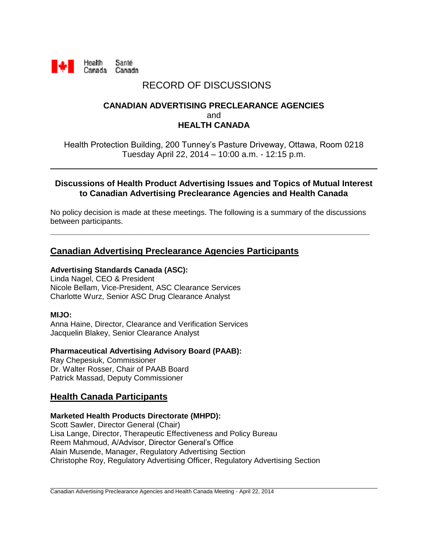

# RECORD OF DISCUSSIONS

### **CANADIAN ADVERTISING PRECLEARANCE AGENCIES** and **HEALTH CANADA**

Health Protection Building, 200 Tunney's Pasture Driveway, Ottawa, Room 0218 Tuesday April 22, 2014 – 10:00 a.m. - 12:15 p.m.

#### **Discussions of Health Product Advertising Issues and Topics of Mutual Interest to Canadian Advertising Preclearance Agencies and Health Canada**

No policy decision is made at these meetings. The following is a summary of the discussions between participants.

**\_\_\_\_\_\_\_\_\_\_\_\_\_\_\_\_\_\_\_\_\_\_\_\_\_\_\_\_\_\_\_\_\_\_\_\_\_\_\_\_\_\_\_\_\_\_\_\_\_\_\_\_\_\_\_\_\_\_\_\_\_\_\_\_\_\_\_\_**

# **Canadian Advertising Preclearance Agencies Participants**

#### **Advertising Standards Canada (ASC):**

Linda Nagel, CEO & President Nicole Bellam, Vice-President, ASC Clearance Services Charlotte Wurz, Senior ASC Drug Clearance Analyst

#### **MIJO:**

Anna Haine, Director, Clearance and Verification Services Jacquelin Blakey, Senior Clearance Analyst

#### **Pharmaceutical Advertising Advisory Board (PAAB):**

Ray Chepesiuk, Commissioner Dr. Walter Rosser, Chair of PAAB Board Patrick Massad, Deputy Commissioner

### **Health Canada Participants**

#### **Marketed Health Products Directorate (MHPD):**

Scott Sawler, Director General (Chair) Lisa Lange, Director, Therapeutic Effectiveness and Policy Bureau Reem Mahmoud, A/Advisor, Director General's Office Alain Musende, Manager, Regulatory Advertising Section Christophe Roy, Regulatory Advertising Officer, Regulatory Advertising Section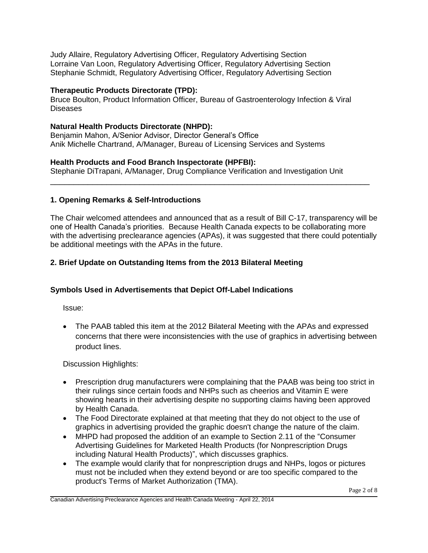Judy Allaire, Regulatory Advertising Officer, Regulatory Advertising Section Lorraine Van Loon, Regulatory Advertising Officer, Regulatory Advertising Section Stephanie Schmidt, Regulatory Advertising Officer, Regulatory Advertising Section

#### **Therapeutic Products Directorate (TPD):**

Bruce Boulton, Product Information Officer, Bureau of Gastroenterology Infection & Viral Diseases

#### **Natural Health Products Directorate (NHPD):**

Benjamin Mahon, A/Senior Advisor, Director General's Office Anik Michelle Chartrand, A/Manager, Bureau of Licensing Services and Systems

#### **Health Products and Food Branch Inspectorate (HPFBI):**

Stephanie DiTrapani, A/Manager, Drug Compliance Verification and Investigation Unit

\_\_\_\_\_\_\_\_\_\_\_\_\_\_\_\_\_\_\_\_\_\_\_\_\_\_\_\_\_\_\_\_\_\_\_\_\_\_\_\_\_\_\_\_\_\_\_\_\_\_\_\_\_\_\_\_\_\_\_\_\_\_\_\_\_\_\_\_

#### **1. Opening Remarks & Self-Introductions**

The Chair welcomed attendees and announced that as a result of Bill C-17, transparency will be one of Health Canada's priorities. Because Health Canada expects to be collaborating more with the advertising preclearance agencies (APAs), it was suggested that there could potentially be additional meetings with the APAs in the future.

#### **2. Brief Update on Outstanding Items from the 2013 Bilateral Meeting**

#### **Symbols Used in Advertisements that Depict Off-Label Indications**

Issue:

 The PAAB tabled this item at the 2012 Bilateral Meeting with the APAs and expressed concerns that there were inconsistencies with the use of graphics in advertising between product lines.

#### Discussion Highlights:

- Prescription drug manufacturers were complaining that the PAAB was being too strict in their rulings since certain foods and NHPs such as cheerios and Vitamin E were showing hearts in their advertising despite no supporting claims having been approved by Health Canada.
- The Food Directorate explained at that meeting that they do not object to the use of graphics in advertising provided the graphic doesn't change the nature of the claim.
- MHPD had proposed the addition of an example to Section 2.11 of the "Consumer Advertising Guidelines for Marketed Health Products (for Nonprescription Drugs including Natural Health Products)", which discusses graphics.
- The example would clarify that for nonprescription drugs and NHPs, logos or pictures must not be included when they extend beyond or are too specific compared to the product's Terms of Market Authorization (TMA).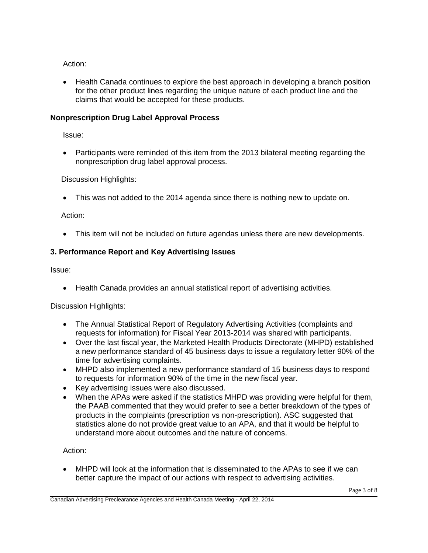Action:

• Health Canada continues to explore the best approach in developing a branch position for the other product lines regarding the unique nature of each product line and the claims that would be accepted for these products.

### **Nonprescription Drug Label Approval Process**

Issue:

 Participants were reminded of this item from the 2013 bilateral meeting regarding the nonprescription drug label approval process.

Discussion Highlights:

This was not added to the 2014 agenda since there is nothing new to update on.

Action:

This item will not be included on future agendas unless there are new developments.

# **3. Performance Report and Key Advertising Issues**

Issue:

Health Canada provides an annual statistical report of advertising activities.

Discussion Highlights:

- The Annual Statistical Report of Regulatory Advertising Activities (complaints and requests for information) for Fiscal Year 2013-2014 was shared with participants.
- Over the last fiscal year, the Marketed Health Products Directorate (MHPD) established a new performance standard of 45 business days to issue a regulatory letter 90% of the time for advertising complaints.
- MHPD also implemented a new performance standard of 15 business days to respond to requests for information 90% of the time in the new fiscal year.
- Key advertising issues were also discussed.
- When the APAs were asked if the statistics MHPD was providing were helpful for them, the PAAB commented that they would prefer to see a better breakdown of the types of products in the complaints (prescription vs non-prescription). ASC suggested that statistics alone do not provide great value to an APA, and that it would be helpful to understand more about outcomes and the nature of concerns.

Action:

 MHPD will look at the information that is disseminated to the APAs to see if we can better capture the impact of our actions with respect to advertising activities.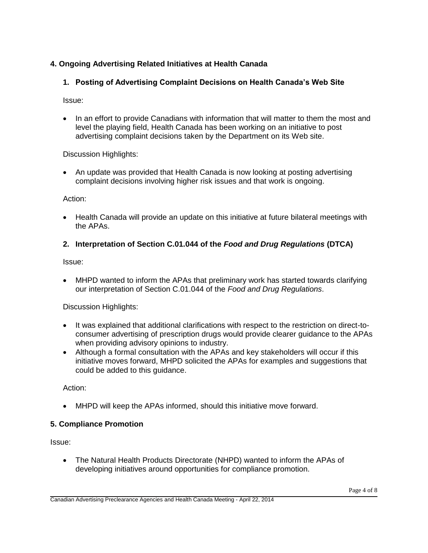### **4. Ongoing Advertising Related Initiatives at Health Canada**

### **1. Posting of Advertising Complaint Decisions on Health Canada's Web Site**

Issue:

 In an effort to provide Canadians with information that will matter to them the most and level the playing field, Health Canada has been working on an initiative to post advertising complaint decisions taken by the Department on its Web site.

Discussion Highlights:

 An update was provided that Health Canada is now looking at posting advertising complaint decisions involving higher risk issues and that work is ongoing.

Action:

 Health Canada will provide an update on this initiative at future bilateral meetings with the APAs.

### **2. Interpretation of Section C.01.044 of the** *Food and Drug Regulations* **(DTCA)**

Issue:

 MHPD wanted to inform the APAs that preliminary work has started towards clarifying our interpretation of Section C.01.044 of the *Food and Drug Regulations*.

Discussion Highlights:

- It was explained that additional clarifications with respect to the restriction on direct-toconsumer advertising of prescription drugs would provide clearer guidance to the APAs when providing advisory opinions to industry.
- Although a formal consultation with the APAs and key stakeholders will occur if this initiative moves forward, MHPD solicited the APAs for examples and suggestions that could be added to this guidance.

Action:

MHPD will keep the APAs informed, should this initiative move forward.

#### **5. Compliance Promotion**

Issue:

 The Natural Health Products Directorate (NHPD) wanted to inform the APAs of developing initiatives around opportunities for compliance promotion.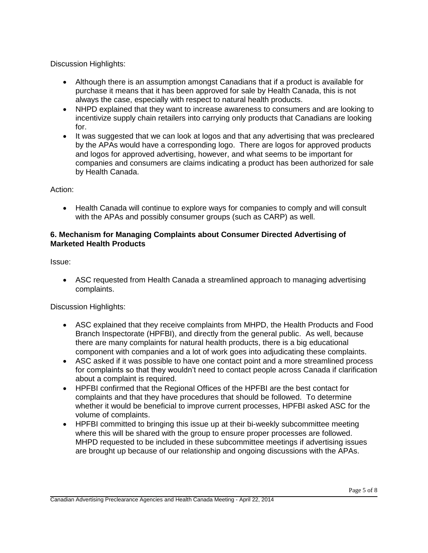Discussion Highlights:

- Although there is an assumption amongst Canadians that if a product is available for purchase it means that it has been approved for sale by Health Canada, this is not always the case, especially with respect to natural health products.
- NHPD explained that they want to increase awareness to consumers and are looking to incentivize supply chain retailers into carrying only products that Canadians are looking for.
- It was suggested that we can look at logos and that any advertising that was precleared by the APAs would have a corresponding logo. There are logos for approved products and logos for approved advertising, however, and what seems to be important for companies and consumers are claims indicating a product has been authorized for sale by Health Canada.

Action:

• Health Canada will continue to explore ways for companies to comply and will consult with the APAs and possibly consumer groups (such as CARP) as well.

### **6. Mechanism for Managing Complaints about Consumer Directed Advertising of Marketed Health Products**

Issue:

 ASC requested from Health Canada a streamlined approach to managing advertising complaints.

Discussion Highlights:

- ASC explained that they receive complaints from MHPD, the Health Products and Food Branch Inspectorate (HPFBI), and directly from the general public. As well, because there are many complaints for natural health products, there is a big educational component with companies and a lot of work goes into adjudicating these complaints.
- ASC asked if it was possible to have one contact point and a more streamlined process for complaints so that they wouldn't need to contact people across Canada if clarification about a complaint is required.
- HPFBI confirmed that the Regional Offices of the HPFBI are the best contact for complaints and that they have procedures that should be followed. To determine whether it would be beneficial to improve current processes, HPFBI asked ASC for the volume of complaints.
- HPFBI committed to bringing this issue up at their bi-weekly subcommittee meeting where this will be shared with the group to ensure proper processes are followed. MHPD requested to be included in these subcommittee meetings if advertising issues are brought up because of our relationship and ongoing discussions with the APAs.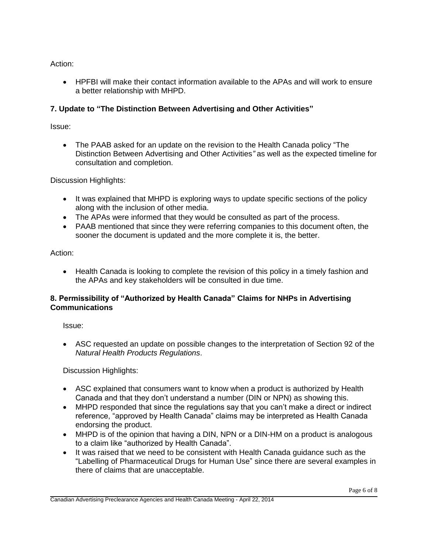Action:

 HPFBI will make their contact information available to the APAs and will work to ensure a better relationship with MHPD.

### **7. Update to "The Distinction Between Advertising and Other Activities"**

Issue:

 The PAAB asked for an update on the revision to the Health Canada policy "The Distinction Between Advertising and Other Activities*"* as well as the expected timeline for consultation and completion.

Discussion Highlights:

- It was explained that MHPD is exploring ways to update specific sections of the policy along with the inclusion of other media.
- The APAs were informed that they would be consulted as part of the process.
- PAAB mentioned that since they were referring companies to this document often, the sooner the document is updated and the more complete it is, the better.

Action:

• Health Canada is looking to complete the revision of this policy in a timely fashion and the APAs and key stakeholders will be consulted in due time.

#### **8. Permissibility of "Authorized by Health Canada" Claims for NHPs in Advertising Communications**

Issue:

 ASC requested an update on possible changes to the interpretation of Section 92 of the *Natural Health Products Regulations*.

Discussion Highlights:

- ASC explained that consumers want to know when a product is authorized by Health Canada and that they don't understand a number (DIN or NPN) as showing this.
- MHPD responded that since the regulations say that you can't make a direct or indirect reference, "approved by Health Canada" claims may be interpreted as Health Canada endorsing the product.
- MHPD is of the opinion that having a DIN, NPN or a DIN-HM on a product is analogous to a claim like "authorized by Health Canada".
- It was raised that we need to be consistent with Health Canada guidance such as the "Labelling of Pharmaceutical Drugs for Human Use" since there are several examples in there of claims that are unacceptable.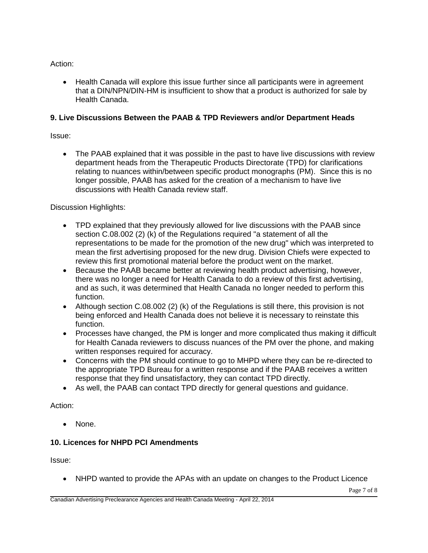Action:

• Health Canada will explore this issue further since all participants were in agreement that a DIN/NPN/DIN-HM is insufficient to show that a product is authorized for sale by Health Canada.

### **9. Live Discussions Between the PAAB & TPD Reviewers and/or Department Heads**

Issue:

 The PAAB explained that it was possible in the past to have live discussions with review department heads from the Therapeutic Products Directorate (TPD) for clarifications relating to nuances within/between specific product monographs (PM). Since this is no longer possible, PAAB has asked for the creation of a mechanism to have live discussions with Health Canada review staff.

Discussion Highlights:

- TPD explained that they previously allowed for live discussions with the PAAB since section C.08.002 (2) (k) of the Regulations required "a statement of all the representations to be made for the promotion of the new drug" which was interpreted to mean the first advertising proposed for the new drug. Division Chiefs were expected to review this first promotional material before the product went on the market.
- Because the PAAB became better at reviewing health product advertising, however, there was no longer a need for Health Canada to do a review of this first advertising, and as such, it was determined that Health Canada no longer needed to perform this function.
- Although section C.08.002 (2) (k) of the Regulations is still there, this provision is not being enforced and Health Canada does not believe it is necessary to reinstate this function.
- Processes have changed, the PM is longer and more complicated thus making it difficult for Health Canada reviewers to discuss nuances of the PM over the phone, and making written responses required for accuracy.
- Concerns with the PM should continue to go to MHPD where they can be re-directed to the appropriate TPD Bureau for a written response and if the PAAB receives a written response that they find unsatisfactory, they can contact TPD directly.
- As well, the PAAB can contact TPD directly for general questions and guidance.

### Action:

• None.

# **10. Licences for NHPD PCI Amendments**

Issue:

NHPD wanted to provide the APAs with an update on changes to the Product Licence